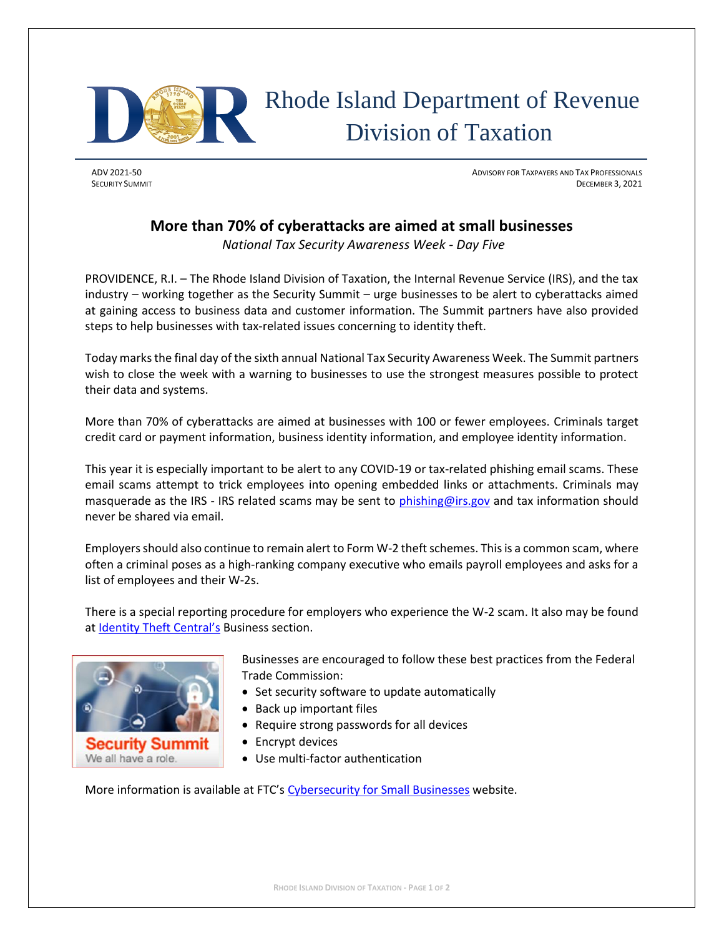

## Rhode Island Department of Revenue Division of Taxation

ADV 2021-50 ADVISORY FOR TAXPAYERS AND TAX PROFESSIONALS SECURITY SUMMIT DECEMBER 3, 2021

## **More than 70% of cyberattacks are aimed at small businesses**

*National Tax Security Awareness Week - Day Five*

PROVIDENCE, R.I. – The Rhode Island Division of Taxation, the Internal Revenue Service (IRS), and the tax industry – working together as the Security Summit – urge businesses to be alert to cyberattacks aimed at gaining access to business data and customer information. The Summit partners have also provided steps to help businesses with tax-related issues concerning to identity theft.

Today marksthe final day of the sixth annual National Tax Security Awareness Week. The Summit partners wish to close the week with a warning to businesses to use the strongest measures possible to protect their data and systems.

More than 70% of cyberattacks are aimed at businesses with 100 or fewer employees. Criminals target credit card or payment information, business identity information, and employee identity information.

This year it is especially important to be alert to any COVID-19 or tax-related phishing email scams. These email scams attempt to trick employees into opening embedded links or attachments. Criminals may masquerade as the IRS - IRS related scams may be sent to [phishing@irs.gov](mailto:phishing@irs.gov) and tax information should never be shared via email.

Employers should also continue to remain alert to Form W-2 theft schemes. This is a common scam, where often a criminal poses as a high-ranking company executive who emails payroll employees and asks for a list of employees and their W-2s.

There is a special reporting procedure for employers who experience the W-2 scam. It also may be found at [Identity Theft Central's](https://www.irs.gov/identity-theft-central) Business section.



Security Summit We all have a role

Businesses are encouraged to follow these best practices from the Federal Trade Commission:

- Set security software to update automatically
- Back up important files
- Require strong passwords for all devices
- Encrypt devices
- Use multi-factor authentication

More information is available at FTC's [Cybersecurity for Small Businesses](https://www.ftc.gov/tips-advice/business-center/small-businesses/cybersecurity) website.